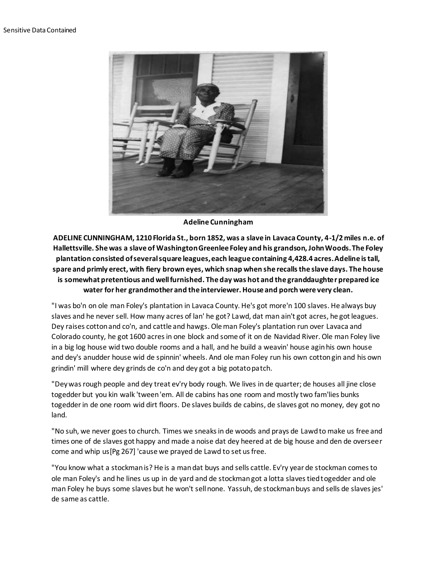

**Adeline Cunningham**

**ADELINE CUNNINGHAM, 1210 Florida St., born 1852, was a slave in Lavaca County, 4-1/2 miles n.e. of Hallettsville. She was a slave of Washington Greenlee Foley and his grandson, John Woods. The Foley plantation consisted of several square leagues, each league containing 4,428.4 acres. Adeline is tall, spare and primly erect, with fiery brown eyes, which snap when she recalls the slave days. The house is somewhat pretentious and well furnished. The day was hot and the granddaughter prepared ice water for her grandmother and the interviewer. House and porch were very clean.**

"I was bo'n on ole man Foley's plantation in Lavaca County. He's got more'n 100 slaves. He always buy slaves and he never sell. How many acres of lan' he got? Lawd, dat man ain't got acres, he got leagues. Dey raises cotton and co'n, and cattle and hawgs. Ole man Foley's plantation run over Lavaca and Colorado county, he got 1600 acres in one block and some of it on de Navidad River. Ole man Foley live in a big log house wid two double rooms and a hall, and he build a weavin' house agin his own house and dey's anudder house wid de spinnin' wheels. And ole man Foley run his own cotton gin and his own grindin' mill where dey grinds de co'n and dey got a big potato patch.

"Dey was rough people and dey treat ev'ry body rough. We lives in de quarter; de houses all jine close togedder but you kin walk 'tween 'em. All de cabins has one room and mostly two fam'lies bunks togedder in de one room wid dirt floors. De slaves builds de cabins, de slaves got no money, dey got no land.

"No suh, we never goes to church. Times we sneaks in de woods and prays de Lawd to make us free and times one of de slaves got happy and made a noise dat dey heered at de big house and den de overseer come and whip us[Pg 267] 'cause we prayed de Lawd to set us free.

"You know what a stockman is? He is a man dat buys and sells cattle. Ev'ry year de stockman comes to ole man Foley's and he lines us up in de yard and de stockman got a lotta slaves tied togedder and ole man Foley he buys some slaves but he won't sell none. Yassuh, de stockman buys and sells de slaves jes' de same as cattle.